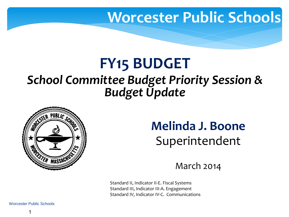#### **Worcester Public Schools**

#### **FY15 BUDGET**

#### *School Committee Budget Priority Session & Budget Update*



#### **Melinda J. Boone**  Superintendent

March 2014

Standard II, Indicator II-E. Fiscal Systems Standard III, Indicator III-A. Engagement Standard IV, Indicator IV-C. Communications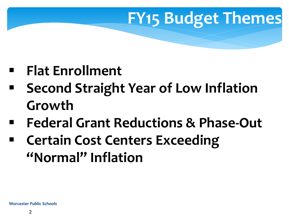# **FY15 Budget Themes**

- **Flat Enrollment**
- **Second Straight Year of Low Inflation Growth**
- **Federal Grant Reductions & Phase-Out**
- **Certain Cost Centers Exceeding "Normal" Inflation**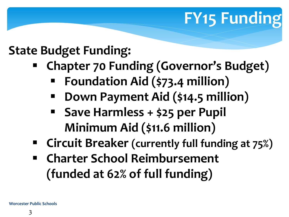# **FY15 Funding**

#### **State Budget Funding:**

- **Chapter 70 Funding (Governor's Budget)**
	- **Foundation Aid (\$73.4 million)**
	- **Down Payment Aid (\$14.5 million)**
	- **Save Harmless + \$25 per Pupil Minimum Aid (\$11.6 million)**
- **Circuit Breaker (currently full funding at 75%)**
- **Charter School Reimbursement (funded at 62% of full funding)**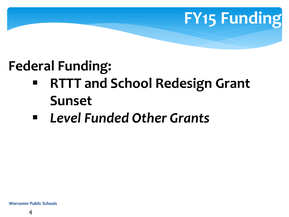# **FY15 Funding**

#### **Federal Funding:**

- **RTTT and School Redesign Grant Sunset**
- *Level Funded Other Grants*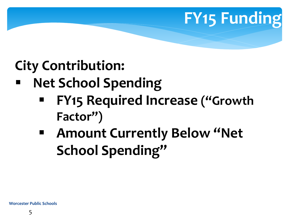# **FY15 Funding**

### **City Contribution:**

#### **Net School Spending**

- **FY15 Required Increase ("Growth Factor")**
- **Amount Currently Below "Net School Spending"**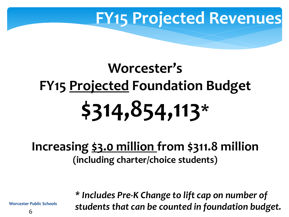### **FY15 Projected Revenues**

# **Worcester's FY15 Projected Foundation Budget \$314,854,113\***

#### **Increasing \$3.0 million from \$311.8 million (including charter/choice students)**

**Worcester Public Schools** 

*\* Includes Pre-K Change to lift cap on number of students that can be counted in foundation budget.*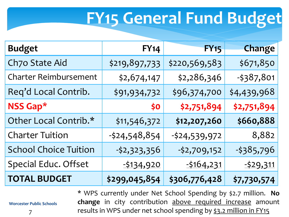# **FY15 General Fund Budget**

| <b>Budget</b>                | FY14           | <b>FY15</b>    | Change      |
|------------------------------|----------------|----------------|-------------|
| Ch7o State Aid               | \$219,897,733  | \$220,569,583  | \$671,850   |
| <b>Charter Reimbursement</b> | \$2,674,147    | \$2,286,346    | $-5387,801$ |
| Req'd Local Contrib.         | \$91,934,732   | \$96,374,700   | \$4,439,968 |
| NSS Gap*                     | \$0            | \$2,751,894    | \$2,751,894 |
| Other Local Contrib.*        | \$11,546,372   | \$12,207,260   | \$660,888   |
| <b>Charter Tuition</b>       | $-524,548,854$ | $-524,539,972$ | 8,882       |
| <b>School Choice Tuition</b> | $-52,323,356$  | $-52,709,152$  | $-5385,796$ |
| Special Educ. Offset         | $-5134,920$    | $-5164,231$    | $-529,311$  |
| <b>TOTAL BUDGET</b>          | \$299,045,854  | \$306,776,428  | \$7,730,574 |

\* WPS currently under Net School Spending by \$2.7 million. **No change** in city contribution above required increase amount results in WPS under net school spending by \$3.2 million in FY15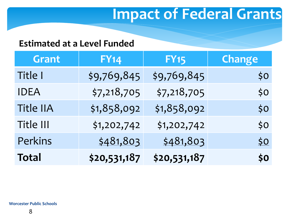### **Impact of Federal Grants**

#### **Estimated at a Level Funded**

| <b>Grant</b> | <b>FY14</b>  | <b>FY15</b>  | <b>Change</b> |
|--------------|--------------|--------------|---------------|
| Title I      | \$9,769,845  | \$9,769,845  | \$0           |
| <b>IDEA</b>  | \$7,218,705  | \$7,218,705  | \$0           |
| Title IIA    | \$1,858,092  | \$1,858,092  | \$0           |
| Title III    | \$1,202,742  | \$1,202,742  | \$0           |
| Perkins      | \$481,803    | \$481,803    | <u>\$0</u>    |
| <b>Total</b> | \$20,531,187 | \$20,531,187 | \$o\$         |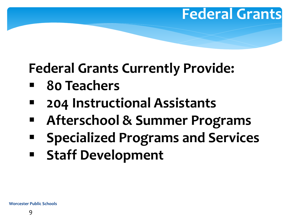#### **Federal Grants**

### **Federal Grants Currently Provide:**

- **80 Teachers**
- **204 Instructional Assistants**
- **Afterschool & Summer Programs**
- **Specialized Programs and Services**
- **Staff Development**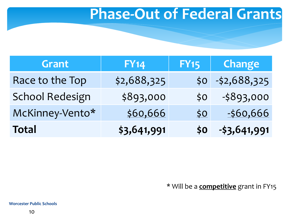#### **Phase-Out of Federal Grants**

| Grant                  | FY14        | <b>FY15</b>      | Change            |
|------------------------|-------------|------------------|-------------------|
| Race to the Top        | \$2,688,325 |                  | $$0 - $2,688,325$ |
| <b>School Redesign</b> | \$893,000   | 50 <sup>°</sup>  | $-5893,000$       |
| McKinney-Vento*        | \$60,666    | \$0 <sub>1</sub> | $-560,666$        |
| <b>Total</b>           | \$3,641,991 | \$0\$            | $-53,641,991$     |

\* Will be a **competitive** grant in FY15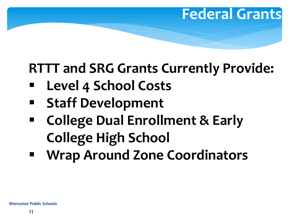### **RTTT and SRG Grants Currently Provide:**

**Federal Grants** 

- **Level 4 School Costs**
- **Staff Development**
- **College Dual Enrollment & Early College High School**
- **Wrap Around Zone Coordinators**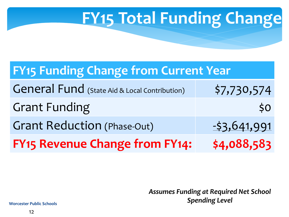# **FY15 Total Funding Change**

#### **FY15 Funding Change from Current Year**

| <b>General Fund</b> (State Aid & Local Contribution) | \$7,730,574   |
|------------------------------------------------------|---------------|
| <b>Grant Funding</b>                                 | \$0\$         |
| <b>Grant Reduction (Phase-Out)</b>                   | $-53,641,991$ |
| <b>FY15 Revenue Change from FY14:</b>                | \$4,088,583   |

*Assumes Funding at Required Net School Spending Level*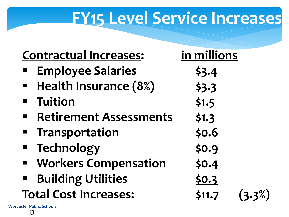### **FY15 Level Service Increases**

| <b>Contractual Increases:</b>                   | in millions         |  |
|-------------------------------------------------|---------------------|--|
| <b>Employee Salaries</b>                        | \$3.4               |  |
| Health Insurance (8%)                           | \$3.3               |  |
| <b>- Tuition</b>                                | \$1.5               |  |
| <b>Retirement Assessments</b><br>$\blacksquare$ | \$1.3               |  |
| <b>Transportation</b>                           | \$0.6               |  |
| <b>E</b> Technology                             | \$0.9               |  |
| <b>■ Workers Compensation</b>                   | \$0.4               |  |
| <b>Building Utilities</b><br>$\blacksquare$     | <u>\$0.3</u>        |  |
| <b>Total Cost Increases:</b>                    | \$11.7<br>$(3.3\%)$ |  |
| <b>Worcester Public Schools</b>                 |                     |  |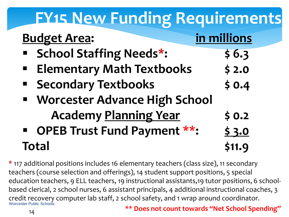### **FY15 New Funding Requirements Budget Area: in millions School Staffing Needs\*: \$ 6.3 Elementary Math Textbooks \$ 2.0 Secondary Textbooks** \$ 0.4 **Worcester Advance High School Academy Planning Year \$ 0.2 OPEB Trust Fund Payment \*\*: \$ 3.0 Total \$11.9**

 \* 117 additional positions includes 16 elementary teachers (class size), 11 secondary **\*\* Does not count towards "Net School Spending"** teachers (course selection and offerings), 14 student support positions, 5 special education teachers, 9 ELL teachers, 19 instructional assistants,19 tutor positions, 6 schoolbased clerical, 2 school nurses, 6 assistant principals, 4 additional instructional coaches, 3 credit recovery computer lab staff, 2 school safety, and 1 wrap around coordinator. Worcester Public Schools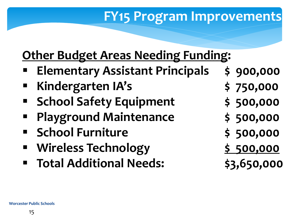#### **FY15 Program Improvements**

#### **Other Budget Areas Needing Funding:**

- **Elementary Assistant Principals \$ 900,000**
- **Kindergarten IA's \$ 750,000**
- **School Safety Equipment**  $\begin{array}{c} 500,000 \end{array}$
- **Playground Maintenance**  $\qquad$  \$ 500,000
- **School Furniture \$ 500,000**
- **Wireless Technology** 5 500,000
- **Total Additional Needs: \$3,650,000**
- -
- 
- 
- 
- 
-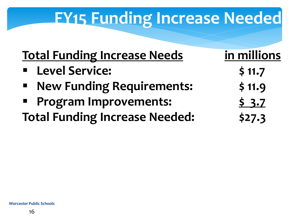### **FY15 Funding Increase Needed**

| <b>Total Funding Increase Needs</b>                  | in millions |
|------------------------------------------------------|-------------|
| <b>Elevel Service:</b>                               | \$11.7      |
| <b>New Funding Requirements:</b><br>$\blacksquare$ . | \$11.9      |
| <b>• Program Improvements:</b>                       | 5.3.7       |
| <b>Total Funding Increase Needed:</b>                | \$27.3      |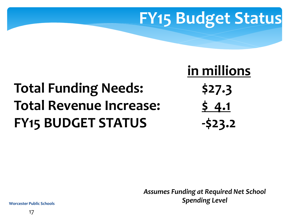## **FY15 Budget Status**

### **Total Funding Needs: \$27.3 Total Revenue Increase: \$ 4.1 FY15 BUDGET STATUS -\$23.2**

 **in millions** 

*Assumes Funding at Required Net School Spending Level*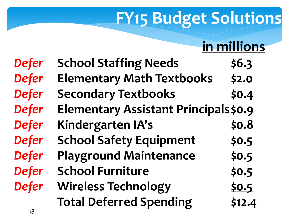#### **in millions**

| <b>Defer</b> | <b>School Staffing Needs</b>         | \$6.3  |
|--------------|--------------------------------------|--------|
| <b>Defer</b> | <b>Elementary Math Textbooks</b>     | \$2.0  |
| <b>Defer</b> | <b>Secondary Textbooks</b>           | \$0.4  |
| <b>Defer</b> | Elementary Assistant Principals\$0.9 |        |
| <b>Defer</b> | Kindergarten IA's                    | \$0.8  |
| <b>Defer</b> | <b>School Safety Equipment</b>       | \$0.5  |
| <b>Defer</b> | <b>Playground Maintenance</b>        | \$0.5  |
| <b>Defer</b> | <b>School Furniture</b>              | \$0.5  |
| <b>Defer</b> | <b>Wireless Technology</b>           | 50.5   |
|              | <b>Total Deferred Spending</b>       | \$12.4 |
| 18           |                                      |        |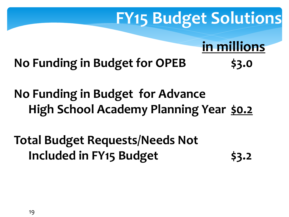**in millions** 

**No Funding in Budget for OPEB \$3.0** 

**No Funding in Budget for Advance High School Academy Planning Year \$0.2** 

**Total Budget Requests/Needs Not Included in FY15 Budget 53.2**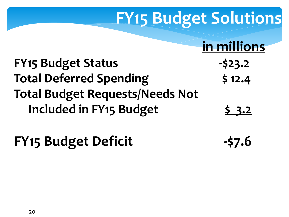**in millions** 

| <b>FY15 Budget Status</b>              | $-523.2$ |
|----------------------------------------|----------|
| <b>Total Deferred Spending</b>         | \$12.4   |
| <b>Total Budget Requests/Needs Not</b> |          |
| Included in FY15 Budget                | 5.3.2    |

**FY15 Budget Deficit 457.6**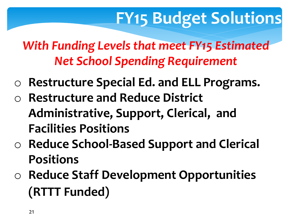*With Funding Levels that meet FY15 Estimated Net School Spending Requirement* 

- o **Restructure Special Ed. and ELL Programs.**
- o **Restructure and Reduce District Administrative, Support, Clerical, and Facilities Positions**
- o **Reduce School-Based Support and Clerical Positions**
- o **Reduce Staff Development Opportunities (RTTT Funded)**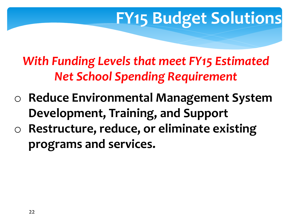*With Funding Levels that meet FY15 Estimated Net School Spending Requirement* 

- o **Reduce Environmental Management System Development, Training, and Support**
- o **Restructure, reduce, or eliminate existing programs and services.**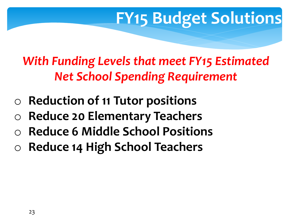*With Funding Levels that meet FY15 Estimated Net School Spending Requirement* 

- **Reduction of 11 Tutor positions**
- o **Reduce 20 Elementary Teachers**
- o **Reduce 6 Middle School Positions**
- o **Reduce 14 High School Teachers**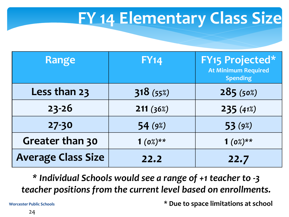## **FY 14 Elementary Class Size**

| <b>Range</b>              | <b>FY14</b> | <b>FY15 Projected*</b><br><b>At Minimum Required</b><br><b>Spending</b> |
|---------------------------|-------------|-------------------------------------------------------------------------|
| Less than 23              | 318(55%)    | 285(50%)                                                                |
| $23 - 26$                 | 211(36%)    | 235(41%)                                                                |
| $27 - 30$                 | 54(9%)      | 53(9%)                                                                  |
| Greater than 30           | $1(0%)**$   | $1(0%)**$                                                               |
| <b>Average Class Size</b> | 22.2        | 22.7                                                                    |

*\* Individual Schools would see a range of +1 teacher to -3 teacher positions from the current level based on enrollments.* 

**\* Due to space limitations at school**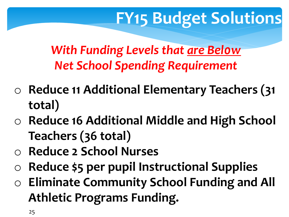*With Funding Levels that are Bel0w Net School Spending Requirement* 

- o **Reduce 11 Additional Elementary Teachers (31 total)**
- o **Reduce 16 Additional Middle and High School Teachers (36 total)**
- o **Reduce 2 School Nurses**
- o **Reduce \$5 per pupil Instructional Supplies**
- o **Eliminate Community School Funding and All Athletic Programs Funding.**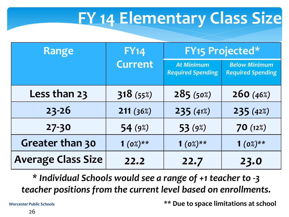# **FY 14 Elementary Class Size**

| <b>Range</b>              | <b>FY14</b>    | <b>FY15 Projected*</b>                        |                                                  |
|---------------------------|----------------|-----------------------------------------------|--------------------------------------------------|
|                           | <b>Current</b> | <b>At Minimum</b><br><b>Required Spending</b> | <b>Below Minimum</b><br><b>Required Spending</b> |
| Less than 23              | 318(55%)       | 285(50%)                                      | 260(46%)                                         |
| $23 - 26$                 | 211(36%)       | 235(41%)                                      | 235(42%)                                         |
| 27-30                     | 54 (9%)        | 53 (9%)                                       | 70(12%)                                          |
| Greater than 30           | $1(0%)**$      | $1(0%)**$                                     | $1(0%)**$                                        |
| <b>Average Class Size</b> | 22.2           | 22.7                                          | 23.0                                             |

*\* Individual Schools would see a range of +1 teacher to -3 teacher positions from the current level based on enrollments.* 

**\*\* Due to space limitations at school**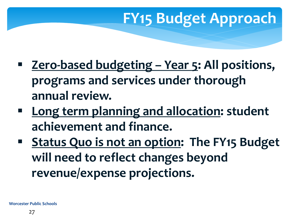## **FY15 Budget Approach**

- **Zero-based budgeting – Year 5: All positions, programs and services under thorough annual review.**
- **Long term planning and allocation: student achievement and finance.**
- **Status Quo is not an option: The FY15 Budget will need to reflect changes beyond revenue/expense projections.**